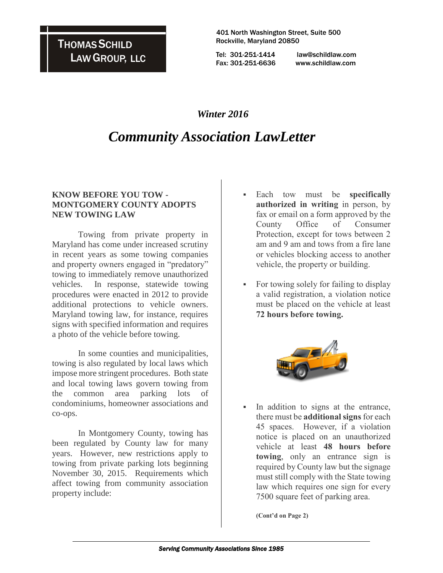**THOMAS SCHILD** LAWGROUP, LLC

 401 North Washington Street, Suite 500 Rockville, Maryland 20850

Tel: 301-251-1414 law@schildlaw.com Fax: 301-251-6636 www.schildlaw.com

### *Winter 2016*

## *Community Association LawLetter*

#### **KNOW BEFORE YOU TOW - MONTGOMERY COUNTY ADOPTS NEW TOWING LAW**

Towing from private property in Maryland has come under increased scrutiny in recent years as some towing companies and property owners engaged in "predatory" towing to immediately remove unauthorized vehicles. In response, statewide towing procedures were enacted in 2012 to provide additional protections to vehicle owners. Maryland towing law, for instance, requires signs with specified information and requires a photo of the vehicle before towing.

In some counties and municipalities, towing is also regulated by local laws which impose more stringent procedures. Both state and local towing laws govern towing from the common area parking lots of condominiums, homeowner associations and co-ops.

In Montgomery County, towing has been regulated by County law for many years. However, new restrictions apply to towing from private parking lots beginning November 30, 2015. Requirements which affect towing from community association property include:

- Each tow must be **specifically authorized in writing** in person, by fax or email on a form approved by the County Office of Consumer Protection, except for tows between 2 am and 9 am and tows from a fire lane or vehicles blocking access to another vehicle, the property or building.
- For towing solely for failing to display a valid registration, a violation notice must be placed on the vehicle at least **72 hours before towing.**



 In addition to signs at the entrance, there must be **additional signs** for each 45 spaces. However, if a violation notice is placed on an unauthorized vehicle at least **48 hours before towing**, only an entrance sign is required by County law but the signage must still comply with the State towing law which requires one sign for every 7500 square feet of parking area.

**(Cont'd on Page 2)**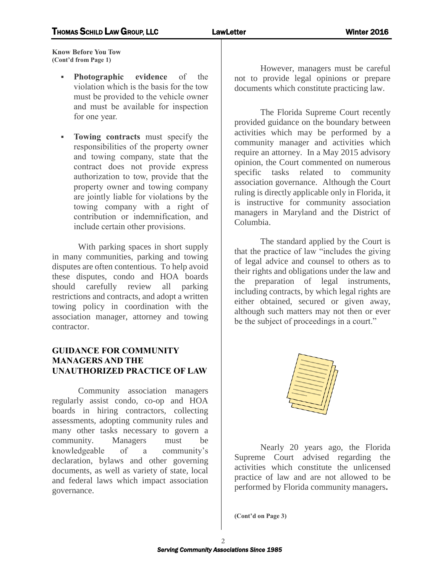**Know Before You Tow (Cont'd from Page 1)**

- **Photographic evidence** of the violation which is the basis for the tow must be provided to the vehicle owner and must be available for inspection for one year.
- **Towing contracts** must specify the responsibilities of the property owner and towing company, state that the contract does not provide express authorization to tow, provide that the property owner and towing company are jointly liable for violations by the towing company with a right of contribution or indemnification, and include certain other provisions.

With parking spaces in short supply in many communities, parking and towing disputes are often contentious. To help avoid these disputes, condo and HOA boards should carefully review all parking restrictions and contracts, and adopt a written towing policy in coordination with the association manager, attorney and towing contractor.

#### **GUIDANCE FOR COMMUNITY MANAGERS AND THE UNAUTHORIZED PRACTICE OF LAW**

Community association managers regularly assist condo, co-op and HOA boards in hiring contractors, collecting assessments, adopting community rules and many other tasks necessary to govern a community. Managers must be knowledgeable of a community's declaration, bylaws and other governing documents, as well as variety of state, local and federal laws which impact association governance.

However, managers must be careful not to provide legal opinions or prepare documents which constitute practicing law.

The Florida Supreme Court recently provided guidance on the boundary between activities which may be performed by a community manager and activities which require an attorney. In a May 2015 advisory opinion, the Court commented on numerous specific tasks related to community association governance. Although the Court ruling is directly applicable only in Florida, it is instructive for community association managers in Maryland and the District of Columbia.

The standard applied by the Court is that the practice of law "includes the giving of legal advice and counsel to others as to their rights and obligations under the law and the preparation of legal instruments, including contracts, by which legal rights are either obtained, secured or given away, although such matters may not then or ever be the subject of proceedings in a court."



Nearly 20 years ago, the Florida Supreme Court advised regarding the activities which constitute the unlicensed practice of law and are not allowed to be performed by Florida community managers**.** 

**(Cont'd on Page 3)**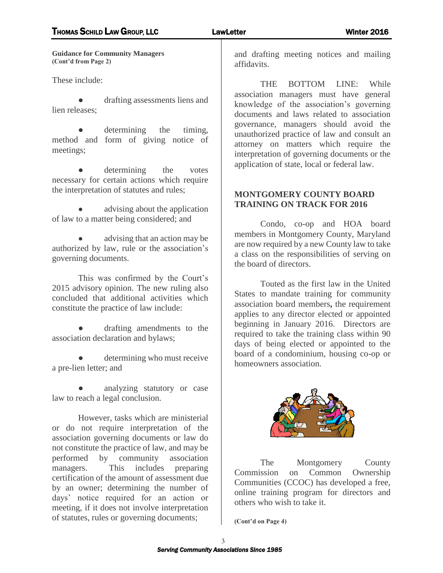**Guidance for Community Managers (Cont'd from Page 2)**

These include:

drafting assessments liens and lien releases;

determining the timing, method and form of giving notice of meetings;

determining the votes necessary for certain actions which require the interpretation of statutes and rules;

advising about the application of law to a matter being considered; and

advising that an action may be authorized by law, rule or the association's governing documents.

This was confirmed by the Court's 2015 advisory opinion. The new ruling also concluded that additional activities which constitute the practice of law include:

drafting amendments to the association declaration and bylaws;

determining who must receive a pre-lien letter; and

analyzing statutory or case law to reach a legal conclusion.

However, tasks which are ministerial or do not require interpretation of the association governing documents or law do not constitute the practice of law, and may be performed by community association managers. This includes preparing certification of the amount of assessment due by an owner; determining the number of days' notice required for an action or meeting, if it does not involve interpretation of statutes, rules or governing documents;

and drafting meeting notices and mailing affidavits.

THE BOTTOM LINE: While association managers must have general knowledge of the association's governing documents and laws related to association governance, managers should avoid the unauthorized practice of law and consult an attorney on matters which require the interpretation of governing documents or the application of state, local or federal law.

#### **MONTGOMERY COUNTY BOARD TRAINING ON TRACK FOR 2016**

Condo, co-op and HOA board members in Montgomery County, Maryland are now required by a new County law to take a class on the responsibilities of serving on the board of directors.

Touted as the first law in the United States to mandate training for community association board members**,** the requirement applies to any director elected or appointed beginning in January 2016. Directors are required to take the training class within 90 days of being elected or appointed to the board of a condominium, housing co-op or homeowners association.



The Montgomery County Commission on Common Ownership Communities (CCOC) has developed a free, online training program for directors and others who wish to take it.

**(Cont'd on Page 4)**